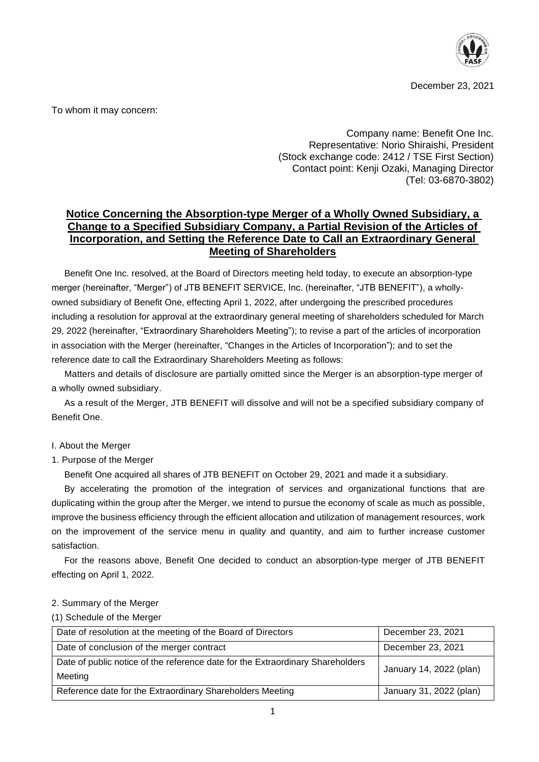

December 23, 2021

To whom it may concern:

Company name: Benefit One Inc. Representative: Norio Shiraishi, President (Stock exchange code: 2412 / TSE First Section) Contact point: Kenji Ozaki, Managing Director (Tel: 03-6870-3802)

# **Notice Concerning the Absorption-type Merger of a Wholly Owned Subsidiary, a Change to a Specified Subsidiary Company, a Partial Revision of the Articles of Incorporation, and Setting the Reference Date to Call an Extraordinary General Meeting of Shareholders**

Benefit One Inc. resolved, at the Board of Directors meeting held today, to execute an absorption-type merger (hereinafter, "Merger") of JTB BENEFIT SERVICE, Inc. (hereinafter, "JTB BENEFIT"), a whollyowned subsidiary of Benefit One, effecting April 1, 2022, after undergoing the prescribed procedures including a resolution for approval at the extraordinary general meeting of shareholders scheduled for March 29, 2022 (hereinafter, "Extraordinary Shareholders Meeting"); to revise a part of the articles of incorporation in association with the Merger (hereinafter, "Changes in the Articles of Incorporation"); and to set the reference date to call the Extraordinary Shareholders Meeting as follows:

Matters and details of disclosure are partially omitted since the Merger is an absorption-type merger of a wholly owned subsidiary.

As a result of the Merger, JTB BENEFIT will dissolve and will not be a specified subsidiary company of Benefit One.

#### I. About the Merger

#### 1. Purpose of the Merger

Benefit One acquired all shares of JTB BENEFIT on October 29, 2021 and made it a subsidiary.

By accelerating the promotion of the integration of services and organizational functions that are duplicating within the group after the Merger, we intend to pursue the economy of scale as much as possible, improve the business efficiency through the efficient allocation and utilization of management resources, work on the improvement of the service menu in quality and quantity, and aim to further increase customer satisfaction.

For the reasons above, Benefit One decided to conduct an absorption-type merger of JTB BENEFIT effecting on April 1, 2022.

#### 2. Summary of the Merger

#### (1) Schedule of the Merger

| Date of resolution at the meeting of the Board of Directors                    | December 23, 2021       |
|--------------------------------------------------------------------------------|-------------------------|
| Date of conclusion of the merger contract                                      | December 23, 2021       |
| Date of public notice of the reference date for the Extraordinary Shareholders | January 14, 2022 (plan) |
| Meeting                                                                        |                         |
| Reference date for the Extraordinary Shareholders Meeting                      | January 31, 2022 (plan) |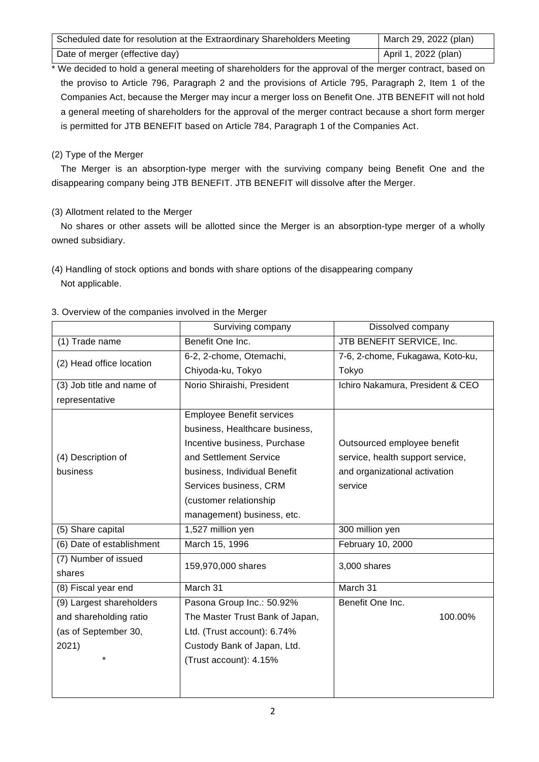| Scheduled date for resolution at the Extraordinary Shareholders Meeting | March 29, 2022 (plan) |
|-------------------------------------------------------------------------|-----------------------|
| Date of merger (effective day)                                          | April 1, 2022 (plan)  |

We decided to hold a general meeting of shareholders for the approval of the merger contract, based on the proviso to Article 796, Paragraph 2 and the provisions of Article 795, Paragraph 2, Item 1 of the Companies Act, because the Merger may incur a merger loss on Benefit One. JTB BENEFIT will not hold a general meeting of shareholders for the approval of the merger contract because a short form merger is permitted for JTB BENEFIT based on Article 784, Paragraph 1 of the Companies Act.

## (2) Type of the Merger

The Merger is an absorption-type merger with the surviving company being Benefit One and the disappearing company being JTB BENEFIT. JTB BENEFIT will dissolve after the Merger.

(3) Allotment related to the Merger

No shares or other assets will be allotted since the Merger is an absorption-type merger of a wholly owned subsidiary.

(4) Handling of stock options and bonds with share options of the disappearing company Not applicable.

|                           | Surviving company                | Dissolved company                |  |
|---------------------------|----------------------------------|----------------------------------|--|
| (1) Trade name            | Benefit One Inc.                 | JTB BENEFIT SERVICE, Inc.        |  |
|                           | 6-2, 2-chome, Otemachi,          | 7-6, 2-chome, Fukagawa, Koto-ku, |  |
| (2) Head office location  | Chiyoda-ku, Tokyo                | Tokyo                            |  |
| (3) Job title and name of | Norio Shiraishi, President       | Ichiro Nakamura, President & CEO |  |
| representative            |                                  |                                  |  |
|                           | <b>Employee Benefit services</b> |                                  |  |
|                           | business, Healthcare business,   |                                  |  |
|                           | Incentive business, Purchase     | Outsourced employee benefit      |  |
| (4) Description of        | and Settlement Service           | service, health support service, |  |
| business                  | business, Individual Benefit     | and organizational activation    |  |
|                           | Services business, CRM           | service                          |  |
|                           | (customer relationship           |                                  |  |
|                           | management) business, etc.       |                                  |  |
| (5) Share capital         | 1,527 million yen                | 300 million yen                  |  |
| (6) Date of establishment | March 15, 1996                   | February 10, 2000                |  |
| (7) Number of issued      | 159,970,000 shares               | 3,000 shares                     |  |
| shares                    |                                  |                                  |  |
| (8) Fiscal year end       | March 31                         | March 31                         |  |
| (9) Largest shareholders  | Pasona Group Inc.: 50.92%        | Benefit One Inc.                 |  |
| and shareholding ratio    | The Master Trust Bank of Japan,  | 100.00%                          |  |
| (as of September 30,      | Ltd. (Trust account): 6.74%      |                                  |  |
| 2021)                     | Custody Bank of Japan, Ltd.      |                                  |  |
| $\star$                   | (Trust account): 4.15%           |                                  |  |
|                           |                                  |                                  |  |
|                           |                                  |                                  |  |

## 3. Overview of the companies involved in the Merger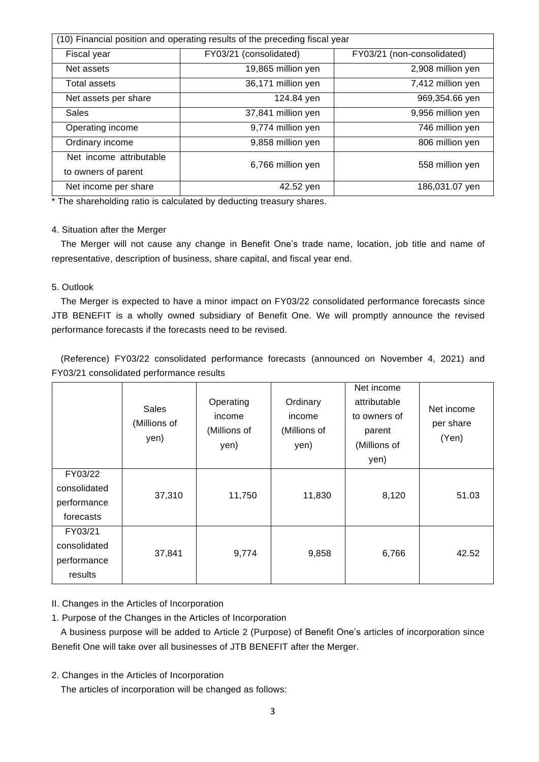| (10) Financial position and operating results of the preceding fiscal year |                        |                            |
|----------------------------------------------------------------------------|------------------------|----------------------------|
| Fiscal year                                                                | FY03/21 (consolidated) | FY03/21 (non-consolidated) |
| Net assets                                                                 | 19,865 million yen     | 2,908 million yen          |
| Total assets                                                               | 36,171 million yen     | 7,412 million yen          |
| Net assets per share                                                       | 124.84 yen             | 969,354.66 yen             |
| Sales                                                                      | 37,841 million yen     | 9,956 million yen          |
| Operating income                                                           | 9,774 million yen      | 746 million yen            |
| Ordinary income                                                            | 9,858 million yen      | 806 million yen            |
| Net income attributable<br>to owners of parent                             | 6,766 million yen      | 558 million yen            |
| Net income per share                                                       | 42.52 yen              | 186,031.07 yen             |

\* The shareholding ratio is calculated by deducting treasury shares.

## 4. Situation after the Merger

The Merger will not cause any change in Benefit One's trade name, location, job title and name of representative, description of business, share capital, and fiscal year end.

## 5. Outlook

The Merger is expected to have a minor impact on FY03/22 consolidated performance forecasts since JTB BENEFIT is a wholly owned subsidiary of Benefit One. We will promptly announce the revised performance forecasts if the forecasts need to be revised.

(Reference) FY03/22 consolidated performance forecasts (announced on November 4, 2021) and FY03/21 consolidated performance results

|                                                     | Sales<br>(Millions of<br>yen) | Operating<br>income<br>(Millions of<br>yen) | Ordinary<br>income<br>(Millions of<br>yen) | Net income<br>attributable<br>to owners of<br>parent<br>(Millions of<br>yen) | Net income<br>per share<br>(Yen) |
|-----------------------------------------------------|-------------------------------|---------------------------------------------|--------------------------------------------|------------------------------------------------------------------------------|----------------------------------|
| FY03/22<br>consolidated<br>performance<br>forecasts | 37,310                        | 11,750                                      | 11,830                                     | 8,120                                                                        | 51.03                            |
| FY03/21<br>consolidated<br>performance<br>results   | 37,841                        | 9,774                                       | 9,858                                      | 6,766                                                                        | 42.52                            |

# II. Changes in the Articles of Incorporation

1. Purpose of the Changes in the Articles of Incorporation

A business purpose will be added to Article 2 (Purpose) of Benefit One's articles of incorporation since Benefit One will take over all businesses of JTB BENEFIT after the Merger.

2. Changes in the Articles of Incorporation

The articles of incorporation will be changed as follows: